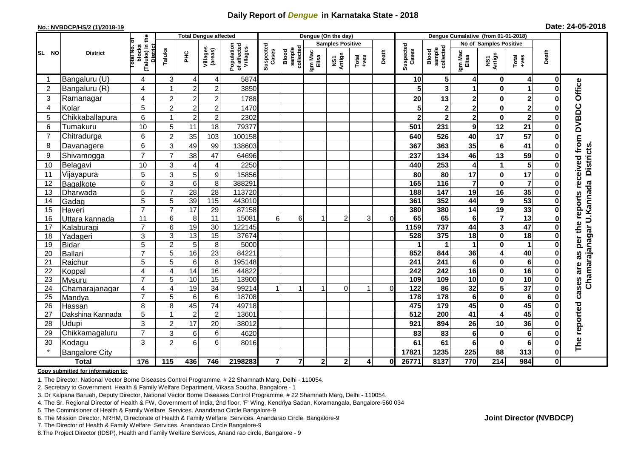## **Daily Report of** *Dengue* **in Karnataka State - 2018**

#### **No.: NVBDCP/HS/2 (1)/2018-19**

|  |  | Date: 24-05-2018 |  |
|--|--|------------------|--|
|--|--|------------------|--|

| <b>Total Dengue affected</b> |                           |                                                             |                |                      |                                   |                                       | Dengue (On the day)     |                              |                  |                |                                                                                                                                                                                                                                                                                                                                                                                                             |          |                         | Dengue Cumalative (from 01-01-2018) |                         |                            |                         |              |                                   |  |
|------------------------------|---------------------------|-------------------------------------------------------------|----------------|----------------------|-----------------------------------|---------------------------------------|-------------------------|------------------------------|------------------|----------------|-------------------------------------------------------------------------------------------------------------------------------------------------------------------------------------------------------------------------------------------------------------------------------------------------------------------------------------------------------------------------------------------------------------|----------|-------------------------|-------------------------------------|-------------------------|----------------------------|-------------------------|--------------|-----------------------------------|--|
|                              |                           |                                                             |                |                      |                                   |                                       | <b>Samples Positive</b> |                              |                  |                |                                                                                                                                                                                                                                                                                                                                                                                                             |          |                         | No of Samples Positive              |                         |                            |                         |              |                                   |  |
| SL NO                        | <b>District</b>           | (Taluks) in the<br>otal No. of<br>blocks<br><b>District</b> | Taluks         | ЭHС                  | Villages<br>(areas)               | Population<br>of affected<br>Villages | Suspected<br>Cases      | collected<br>sample<br>Blood | Igm Mac<br>Elisa | NS1<br>Antign  | $\begin{array}{c}\n\text{Total} \\ \text{1-4} \\ \text{1-4} \\ \text{1-4} \\ \text{1-4} \\ \text{1-4} \\ \text{1-4} \\ \text{1-4} \\ \text{1-4} \\ \text{1-4} \\ \text{1-4} \\ \text{1-4} \\ \text{1-4} \\ \text{1-4} \\ \text{1-4} \\ \text{1-4} \\ \text{1-4} \\ \text{1-4} \\ \text{1-4} \\ \text{1-4} \\ \text{1-4} \\ \text{1-4} \\ \text{1-4} \\ \text{1-4} \\ \text{1-4} \\ \text{1-4} \\ \text{1-4$ | Death    | Suspected<br>Cases      | sample<br>collected<br>Blood        | Igm Mac<br>Elisa        | NS1<br>Antign              | Total<br>+ves           | Death        |                                   |  |
|                              | Bangaluru (U)             | 4                                                           | 3              | 4                    | 4                                 | 5874                                  |                         |                              |                  |                |                                                                                                                                                                                                                                                                                                                                                                                                             |          | 10                      | 5                                   | 4                       | 0                          | $\overline{4}$          | 0            |                                   |  |
| $\overline{2}$               | Bangaluru (R)             | 4                                                           |                | $\overline{2}$       | $\overline{2}$                    | 3850                                  |                         |                              |                  |                |                                                                                                                                                                                                                                                                                                                                                                                                             |          | 5                       | 3                                   | 1                       | $\bf{0}$                   | 1                       |              |                                   |  |
| 3                            | Ramanagar                 | 4                                                           | $\overline{c}$ | $\overline{c}$       | $\overline{2}$                    | 1788                                  |                         |                              |                  |                |                                                                                                                                                                                                                                                                                                                                                                                                             |          | 20                      | 13                                  | $\mathbf 2$             | $\bf{0}$                   | $\mathbf 2$             |              | Office                            |  |
| $\overline{4}$               | Kolar                     | 5                                                           | $\overline{2}$ | $\overline{c}$       | $\overline{c}$                    | 1470                                  |                         |                              |                  |                |                                                                                                                                                                                                                                                                                                                                                                                                             |          | 5                       | $\mathbf 2$                         | $\overline{\mathbf{c}}$ | $\bf{0}$                   | $\overline{\mathbf{2}}$ |              |                                   |  |
| 5                            | Chikkaballapura           | 6                                                           |                | $\overline{c}$       | $\overline{c}$                    | 2302                                  |                         |                              |                  |                |                                                                                                                                                                                                                                                                                                                                                                                                             |          | $\overline{\mathbf{2}}$ | $\mathbf{2}$                        | $\overline{\mathbf{2}}$ | $\bf{0}$                   | $\overline{\mathbf{2}}$ |              |                                   |  |
| 6                            | Tumakuru                  | 10                                                          | 5              | 11                   | 18                                | 79377                                 |                         |                              |                  |                |                                                                                                                                                                                                                                                                                                                                                                                                             |          | 501                     | 231                                 | 9                       | 12                         | 21                      |              | <b>DVBDC</b>                      |  |
| $\overline{7}$               | Chitradurga               | 6                                                           | $\overline{c}$ | 35                   | 103                               | 100158                                |                         |                              |                  |                |                                                                                                                                                                                                                                                                                                                                                                                                             |          | 640                     | 526                                 | 40                      | $\overline{17}$            | $\overline{57}$         |              |                                   |  |
| 8                            | Davanagere                | 6                                                           | 3              | 49                   | 99                                | 138603                                |                         |                              |                  |                |                                                                                                                                                                                                                                                                                                                                                                                                             |          | 367                     | 363                                 | 35                      | $6\phantom{1}6$            | 41                      |              |                                   |  |
| 9                            | Shivamogga                | $\overline{7}$                                              | $\overline{7}$ | 38                   | 47                                | 64696                                 |                         |                              |                  |                |                                                                                                                                                                                                                                                                                                                                                                                                             |          | 237                     | 134                                 | 46                      | 13                         | 59                      |              | received from<br><b>Districts</b> |  |
| 10                           | Belagavi                  | 10                                                          | 3              | 4                    | 4                                 | 2250                                  |                         |                              |                  |                |                                                                                                                                                                                                                                                                                                                                                                                                             |          | 440                     | 253                                 | 4                       | $\mathbf 1$                | 5                       |              |                                   |  |
| 11                           | Vijayapura                | 5                                                           | 3              | 5                    | 9                                 | 15856                                 |                         |                              |                  |                |                                                                                                                                                                                                                                                                                                                                                                                                             |          | 80                      | 80                                  | 17                      | 0                          | $\overline{17}$         |              |                                   |  |
| 12                           | Bagalkote                 | $\,6$                                                       | 3              | $6\phantom{1}6$      | 8                                 | 388291                                |                         |                              |                  |                |                                                                                                                                                                                                                                                                                                                                                                                                             |          | 165                     | $\frac{116}{116}$                   | $\overline{\mathbf{7}}$ | $\bf{0}$                   | $\overline{\mathbf{7}}$ |              | Chamarajanagar U.Kannada          |  |
| 13                           | Dharwada                  | $\overline{5}$                                              | $\overline{7}$ | $\overline{28}$      | $\overline{28}$                   | 113720                                |                         |                              |                  |                |                                                                                                                                                                                                                                                                                                                                                                                                             |          | 188                     | $\overline{147}$                    | 19                      | 16                         | 35                      |              |                                   |  |
| 14                           | Gadag                     | 5                                                           | 5              | 39                   | $\frac{115}{115}$                 | 443010                                |                         |                              |                  |                |                                                                                                                                                                                                                                                                                                                                                                                                             |          | 361                     | 352                                 | 44                      | 9                          | $\overline{53}$         | O            | per the reports                   |  |
| 15                           | Haveri                    | $\overline{7}$                                              | $\overline{7}$ | 17                   | 29                                | 87158                                 |                         |                              |                  |                |                                                                                                                                                                                                                                                                                                                                                                                                             |          | 380                     | 380                                 | 14                      | 19                         | 33                      | 0            |                                   |  |
| 16                           | Uttara kannada            | 11                                                          | 6              | 8                    | 11                                | 15081                                 | 6                       | 6                            |                  | $\overline{2}$ | 3                                                                                                                                                                                                                                                                                                                                                                                                           | $\Omega$ | 65                      | 65                                  | $\bf 6$                 | $\overline{7}$             | 13                      |              |                                   |  |
| 17                           | Kalaburagi                | $\overline{7}$                                              | 6              | 19                   | $\overline{30}$                   | 122145                                |                         |                              |                  |                |                                                                                                                                                                                                                                                                                                                                                                                                             |          | 1159                    | 737                                 | 44                      | $\overline{\mathbf{3}}$    | 47                      |              |                                   |  |
| 18                           | Yadageri                  | 3                                                           | 3              | $\overline{13}$      | 15                                | 37674                                 |                         |                              |                  |                |                                                                                                                                                                                                                                                                                                                                                                                                             |          | 528                     | 375                                 | 18                      | $\mathbf 0$                | $\overline{18}$         |              |                                   |  |
| 19                           | <b>Bidar</b>              | 5                                                           | $\overline{c}$ | 5                    | 8                                 | 5000                                  |                         |                              |                  |                |                                                                                                                                                                                                                                                                                                                                                                                                             |          |                         | 1                                   | 1                       | $\bf{0}$                   | 1                       |              |                                   |  |
| 20                           | Ballari                   | $\overline{7}$                                              | 5              | 16                   | 23                                | 84221                                 |                         |                              |                  |                |                                                                                                                                                                                                                                                                                                                                                                                                             |          | 852                     | 844                                 | 36                      | $\overline{4}$             | 40                      |              | as                                |  |
| 21                           | Raichur                   | 5                                                           | 5              | 6                    | $\overline{8}$                    | 195148                                |                         |                              |                  |                |                                                                                                                                                                                                                                                                                                                                                                                                             |          | 241                     | 241                                 | $\bf 6$                 | $\bf{0}$                   | $6\phantom{1}$          |              | are                               |  |
| 22                           | Koppal                    | 4                                                           | 4              | 14                   | 16                                | 44822                                 |                         |                              |                  |                |                                                                                                                                                                                                                                                                                                                                                                                                             |          | 242                     | 242                                 | 16                      | $\bf{0}$                   | 16                      |              |                                   |  |
| 23                           | Mysuru                    | $\overline{7}$                                              | 5              | 10                   | 15                                | 13900                                 |                         |                              |                  |                |                                                                                                                                                                                                                                                                                                                                                                                                             |          | 109                     | 109                                 | 10                      | $\mathbf 0$                | 10                      | 0            |                                   |  |
| 24                           | Chamarajanagar            | 4<br>$\overline{7}$                                         | 4              | 19                   | 34                                | 99214                                 | $\mathbf{1}$            |                              |                  | $\Omega$       | 1                                                                                                                                                                                                                                                                                                                                                                                                           | $\Omega$ | $\overline{122}$        | 86                                  | 32                      | $\overline{\mathbf{5}}$    | $\overline{37}$         | 0            | cases                             |  |
| 25                           | Mandya                    |                                                             | 5              | 6                    | $6\phantom{1}6$                   | 18708                                 |                         |                              |                  |                |                                                                                                                                                                                                                                                                                                                                                                                                             |          | $\frac{1}{178}$         | 178<br>179                          | $6\phantom{1}$<br>45    | $\bf{0}$                   | $6\phantom{1}6$         |              |                                   |  |
| 26                           | Hassan                    | 8<br>$\overline{5}$                                         | 8              | 45<br>$\overline{2}$ | $\overline{74}$<br>$\overline{2}$ | 49718<br>13601                        |                         |                              |                  |                |                                                                                                                                                                                                                                                                                                                                                                                                             |          | 475<br>$\overline{512}$ | 200                                 | 41                      | $\bf{0}$<br>$\overline{4}$ | 45<br>45                | 0            |                                   |  |
| 27                           | Dakshina Kannada<br>Udupi | 3                                                           |                | 17                   |                                   |                                       |                         |                              |                  |                |                                                                                                                                                                                                                                                                                                                                                                                                             |          |                         |                                     |                         |                            |                         |              |                                   |  |
| 28                           |                           | $\overline{7}$                                              | $\overline{2}$ |                      | 20                                | 38012                                 |                         |                              |                  |                |                                                                                                                                                                                                                                                                                                                                                                                                             |          | 921                     | 894                                 | 26                      | 10                         | 36                      |              |                                   |  |
| 29                           | Chikkamagaluru            |                                                             | 3              | 6                    | $\,6$                             | 4620                                  |                         |                              |                  |                |                                                                                                                                                                                                                                                                                                                                                                                                             |          | 83                      | 83                                  | 6                       | $\bf{0}$                   | $6\phantom{1}$          |              | The reported                      |  |
| 30<br>$\star$                | Kodagu                    | 3                                                           | $\overline{2}$ | 6                    | 6                                 | 8016                                  |                         |                              |                  |                |                                                                                                                                                                                                                                                                                                                                                                                                             |          | 61                      | 61                                  | 6                       | $\bf{0}$                   | 6                       |              |                                   |  |
|                              | <b>Bangalore City</b>     |                                                             |                |                      |                                   |                                       |                         |                              |                  |                |                                                                                                                                                                                                                                                                                                                                                                                                             |          | 17821                   | 1235                                | 225                     | 88                         | 313                     | 0            |                                   |  |
|                              | <b>Total</b>              | $\frac{1}{176}$                                             | 115            | 436                  | 746                               | 2198283                               | $\overline{\mathbf{r}}$ | $\overline{7}$               | 2                | 2 <sup>1</sup> | 4                                                                                                                                                                                                                                                                                                                                                                                                           | 0        | 26771                   | 8137                                | 770                     | $\overline{214}$           | 984                     | $\mathbf{0}$ |                                   |  |

#### **Copy submitted for information to:**

1. The Director, National Vector Borne Diseases Control Programme, # 22 Shamnath Marg, Delhi - 110054.

2. Secretary to Government, Health & Family Welfare Department, Vikasa Soudha, Bangalore - 1

3. Dr Kalpana Baruah, Deputy Director, National Vector Borne Diseases Control Programme, # 22 Shamnath Marg, Delhi - 110054.

4. The Sr. Regional Director of Health & FW, Government of India, 2nd floor, 'F' Wing, Kendriya Sadan, Koramangala, Bangalore-560 034

5. The Commisioner of Health & Family Welfare Services. Anandarao Circle Bangalore-9

6. The Mission Director, NRHM, Directorate of Health & Family Welfare Services. Anandarao Circle, Bangalore-9

7. The Director of Health & Family Welfare Services. Anandarao Circle Bangalore-9

8.The Project Director (IDSP), Health and Family Welfare Services, Anand rao circle, Bangalore - 9